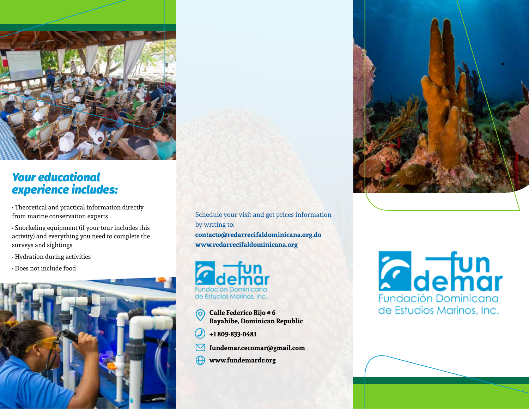

## *Your educational experience includes:*

- Theoretical and practical information directly from marine conservation experts
- Snorkeling equipment (if your tour includes this activity) and everything you need to complete the surveys and sightings
- Hydration during activities
- Does not include food



Schedule your visit and get prices information by writing to: **contacto@redarrecifaldominicana.org.do www.redarrecifaldominicana.org**



- **Calle Federico Rijo # 6** 0 **Bayahibe, Dominican Republic**
- **+1 809-833-0481**
- **fundemar.cecomar@gmail.com**
- **www.fundemardr.org**